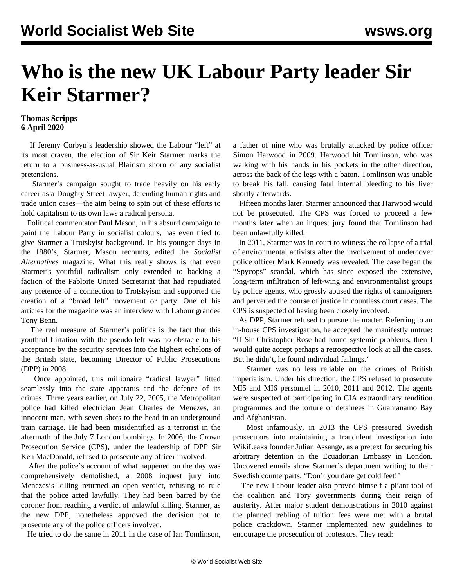## **Who is the new UK Labour Party leader Sir Keir Starmer?**

## **Thomas Scripps 6 April 2020**

 If Jeremy Corbyn's leadership showed the Labour "left" at its most craven, the election of Sir Keir Starmer marks the return to a business-as-usual Blairism shorn of any socialist pretensions.

 Starmer's campaign sought to trade heavily on his early career as a Doughty Street lawyer, defending human rights and trade union cases—the aim being to spin out of these efforts to hold capitalism to its own laws a radical persona.

 Political commentator Paul Mason, in his absurd campaign to paint the Labour Party in socialist colours, has even tried to give Starmer a Trotskyist background. In his younger days in the 1980's, Starmer, Mason recounts, edited the *Socialist Alternatives* magazine. What this really shows is that even Starmer's youthful radicalism only extended to backing a faction of the Pabloite United Secretariat that had repudiated any pretence of a connection to Trotskyism and supported the creation of a "broad left" movement or party. One of his articles for the magazine was an interview with Labour grandee Tony Benn.

 The real measure of Starmer's politics is the fact that this youthful flirtation with the pseudo-left was no obstacle to his acceptance by the security services into the highest echelons of the British state, becoming Director of Public Prosecutions (DPP) in 2008.

 Once appointed, this millionaire "radical lawyer" fitted seamlessly into the state apparatus and the defence of its crimes. Three years earlier, on July 22, 2005, the Metropolitan police had killed electrician Jean Charles de Menezes, an innocent man, with seven shots to the head in an underground train carriage. He had been misidentified as a terrorist in the aftermath of the July 7 London bombings. In 2006, the Crown Prosecution Service (CPS), under the leadership of DPP Sir Ken MacDonald, refused to prosecute any officer involved.

 After the police's account of what happened on the day was comprehensively demolished, a 2008 inquest jury into Menezes's killing returned an open verdict, refusing to rule that the police acted lawfully. They had been barred by the coroner from reaching a verdict of unlawful killing. Starmer, as the new DPP, nonetheless approved the decision not to prosecute any of the police officers involved.

He tried to do the same in 2011 in the case of Ian Tomlinson,

a father of nine who was brutally attacked by police officer Simon Harwood in 2009. Harwood hit Tomlinson, who was walking with his hands in his pockets in the other direction, across the back of the legs with a baton. Tomlinson was unable to break his fall, causing fatal internal bleeding to his liver shortly afterwards.

 Fifteen months later, Starmer announced that Harwood would not be prosecuted. The CPS was forced to proceed a few months later when an inquest jury found that Tomlinson had been unlawfully killed.

 In 2011, Starmer was in court to witness the collapse of a trial of environmental activists after the involvement of undercover police officer Mark Kennedy was revealed. The case began the "Spycops" scandal, which has since exposed the extensive, long-term infiltration of left-wing and environmentalist groups by police agents, who grossly abused the rights of campaigners and perverted the course of justice in countless court cases. The CPS is suspected of having been closely involved.

 As DPP, Starmer refused to pursue the matter. Referring to an in-house CPS investigation, he accepted the manifestly untrue: "If Sir Christopher Rose had found systemic problems, then I would quite accept perhaps a retrospective look at all the cases. But he didn't, he found individual failings."

 Starmer was no less reliable on the crimes of British imperialism. Under his direction, the CPS refused to prosecute MI5 and MI6 personnel in 2010, 2011 and 2012. The agents were suspected of participating in CIA extraordinary rendition programmes and the torture of detainees in Guantanamo Bay and Afghanistan.

 Most infamously, in 2013 the CPS pressured Swedish prosecutors into maintaining a fraudulent investigation into WikiLeaks founder Julian Assange, as a pretext for securing his arbitrary detention in the Ecuadorian Embassy in London. Uncovered emails show Starmer's department writing to their Swedish counterparts, "Don't you dare get cold feet!"

 The new Labour leader also proved himself a pliant tool of the coalition and Tory governments during their reign of austerity. After major student demonstrations in 2010 against the planned trebling of tuition fees were met with a brutal police crackdown, Starmer implemented new guidelines to encourage the prosecution of protestors. They read: